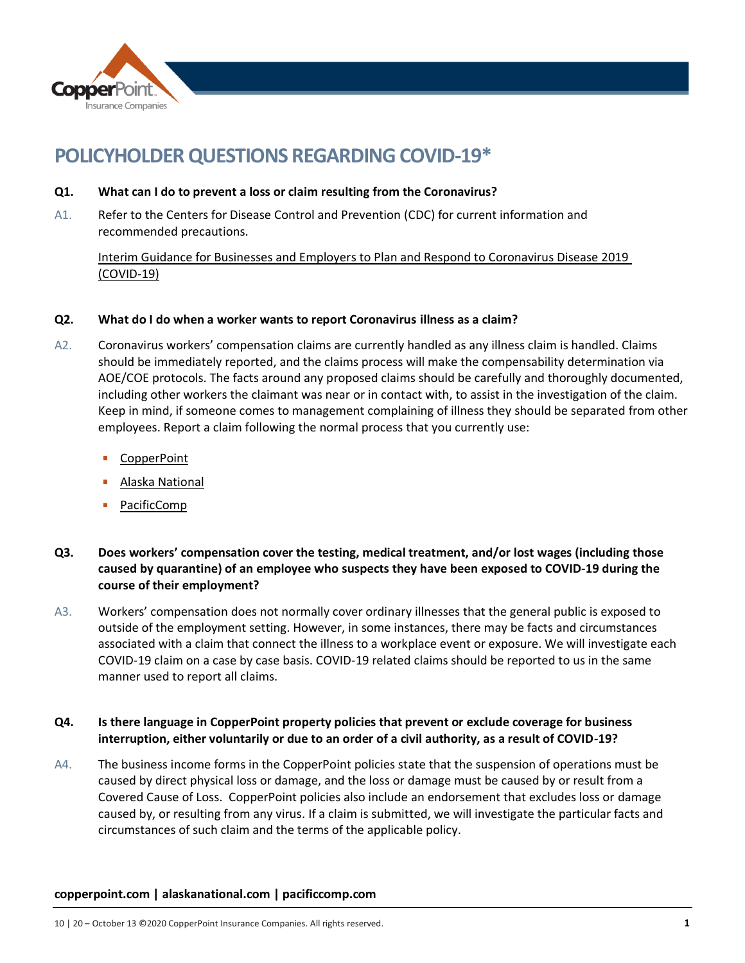

# **POLICYHOLDER QUESTIONS REGARDING COVID-19\***

- **Q1. What can I do to prevent a loss or claim resulting from the Coronavirus?**
- A1. Refer to the Centers for Disease Control and Prevention (CDC) for current information and recommended precautions.

[Interim Guidance for Businesses and Employers to Plan and Respond to Coronavirus Disease 2019](https://www.cdc.gov/coronavirus/2019-ncov/community/organizations/businesses-employers.html?CDC_AA_refVal=https%3A%2F%2Fwww.cdc.gov%2Fcoronavirus%2F2019-ncov%2Fcommunity%2Fbusinesses-employers.html)  [\(COVID-19\)](https://www.cdc.gov/coronavirus/2019-ncov/community/organizations/businesses-employers.html?CDC_AA_refVal=https%3A%2F%2Fwww.cdc.gov%2Fcoronavirus%2F2019-ncov%2Fcommunity%2Fbusinesses-employers.html)

## **Q2. What do I do when a worker wants to report Coronavirus illness as a claim?**

- A2. Coronavirus workers' compensation claims are currently handled as any illness claim is handled. Claims should be immediately reported, and the claims process will make the compensability determination via AOE/COE protocols. The facts around any proposed claims should be carefully and thoroughly documented, including other workers the claimant was near or in contact with, to assist in the investigation of the claim. Keep in mind, if someone comes to management complaining of illness they should be separated from other employees. Report a claim following the normal process that you currently use:
	- [CopperPoint](https://www.copperpoint.com/insurance-claims/file-a-claim)
	- [Alaska National](https://www.alaskanational.com/report-a-claim)
	- [PacificComp](https://www.pacificcomp.com/report-claim/)
- **Q3. Does workers' compensation cover the testing, medical treatment, and/or lost wages (including those caused by quarantine) of an employee who suspects they have been exposed to COVID-19 during the course of their employment?**
- A3. Workers' compensation does not normally cover ordinary illnesses that the general public is exposed to outside of the employment setting. However, in some instances, there may be facts and circumstances associated with a claim that connect the illness to a workplace event or exposure. We will investigate each COVID-19 claim on a case by case basis. COVID-19 related claims should be reported to us in the same manner used to report all claims.

# **Q4. Is there language in CopperPoint property policies that prevent or exclude coverage for business interruption, either voluntarily or due to an order of a civil authority, as a result of COVID-19?**

A4. The business income forms in the CopperPoint policies state that the suspension of operations must be caused by direct physical loss or damage, and the loss or damage must be caused by or result from a Covered Cause of Loss. CopperPoint policies also include an endorsement that excludes loss or damage caused by, or resulting from any virus. If a claim is submitted, we will investigate the particular facts and circumstances of such claim and the terms of the applicable policy.

## **copperpoint.com | alaskanational.com | pacificcomp.com**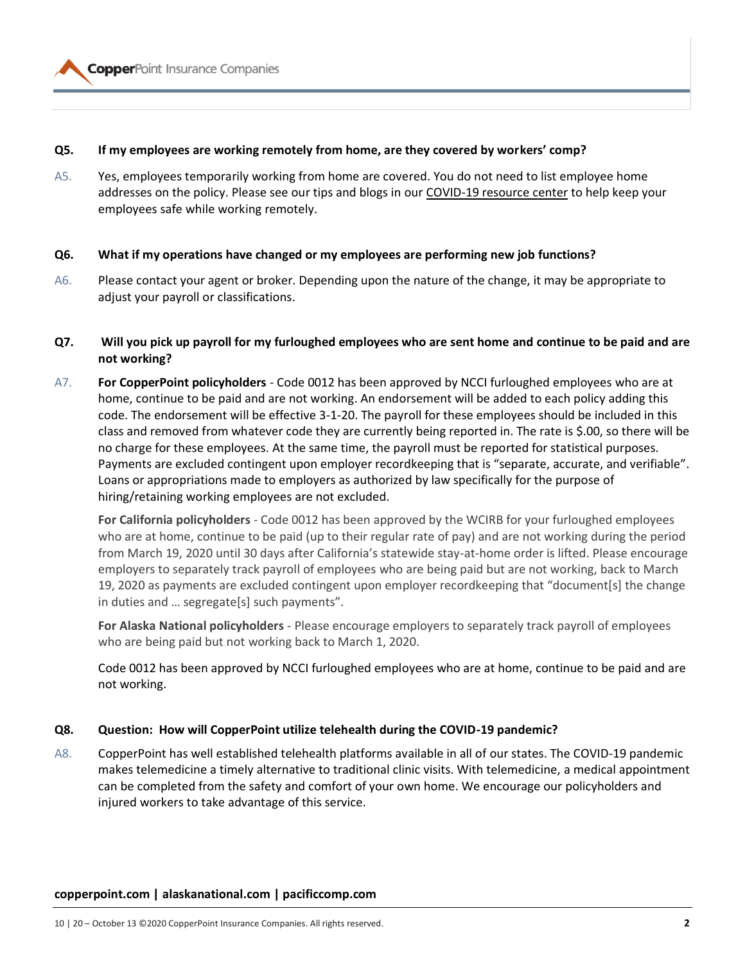

#### **Q5. If my employees are working remotely from home, are they covered by workers' comp?**

A5. Yes, employees temporarily working from home are covered. You do not need to list employee home addresses on the policy. Please see our tips and blogs in our [COVID-19 resource](https://www.copperpoint.com/COVID-19-resource-center) center to help keep your employees safe while working remotely.

#### **Q6. What if my operations have changed or my employees are performing new job functions?**

A6. Please contact your agent or broker. Depending upon the nature of the change, it may be appropriate to adjust your payroll or classifications.

#### **Q7. Will you pick up payroll for my furloughed employees who are sent home and continue to be paid and are not working?**

A7. **For CopperPoint policyholders** - Code 0012 has been approved by NCCI furloughed employees who are at home, continue to be paid and are not working. An endorsement will be added to each policy adding this code. The endorsement will be effective 3-1-20. The payroll for these employees should be included in this class and removed from whatever code they are currently being reported in. The rate is \$.00, so there will be no charge for these employees. At the same time, the payroll must be reported for statistical purposes. Payments are excluded contingent upon employer recordkeeping that is "separate, accurate, and verifiable". Loans or appropriations made to employers as authorized by law specifically for the purpose of hiring/retaining working employees are not excluded.

**For California policyholders** - Code 0012 has been approved by the WCIRB for your furloughed employees who are at home, continue to be paid (up to their regular rate of pay) and are not working during the period from March 19, 2020 until 30 days after California's statewide stay-at-home order is lifted. Please encourage employers to separately track payroll of employees who are being paid but are not working, back to March 19, 2020 as payments are excluded contingent upon employer recordkeeping that "document[s] the change in duties and … segregate[s] such payments".

**For Alaska National policyholders** - Please encourage employers to separately track payroll of employees who are being paid but not working back to March 1, 2020.

Code 0012 has been approved by NCCI furloughed employees who are at home, continue to be paid and are not working.

#### **Q8. Question: How will CopperPoint utilize telehealth during the COVID-19 pandemic?**

A8. CopperPoint has well established telehealth platforms available in all of our states. The COVID-19 pandemic makes telemedicine a timely alternative to traditional clinic visits. With telemedicine, a medical appointment can be completed from the safety and comfort of your own home. We encourage our policyholders and injured workers to take advantage of this service.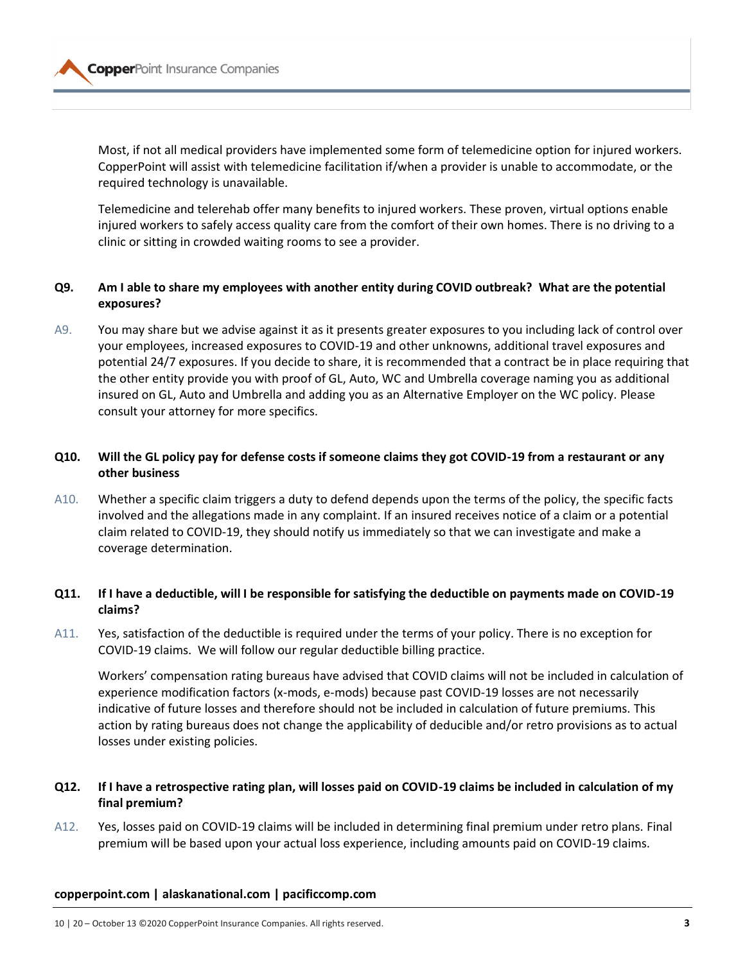

Most, if not all medical providers have implemented some form of telemedicine option for injured workers. CopperPoint will assist with telemedicine facilitation if/when a provider is unable to accommodate, or the required technology is unavailable.

Telemedicine and telerehab offer many benefits to injured workers. These proven, virtual options enable injured workers to safely access quality care from the comfort of their own homes. There is no driving to a clinic or sitting in crowded waiting rooms to see a provider.

## **Q9. Am I able to share my employees with another entity during COVID outbreak? What are the potential exposures?**

A9. You may share but we advise against it as it presents greater exposures to you including lack of control over your employees, increased exposures to COVID-19 and other unknowns, additional travel exposures and potential 24/7 exposures. If you decide to share, it is recommended that a contract be in place requiring that the other entity provide you with proof of GL, Auto, WC and Umbrella coverage naming you as additional insured on GL, Auto and Umbrella and adding you as an Alternative Employer on the WC policy. Please consult your attorney for more specifics.

# **Q10. Will the GL policy pay for defense costs if someone claims they got COVID-19 from a restaurant or any other business**

A10. Whether a specific claim triggers a duty to defend depends upon the terms of the policy, the specific facts involved and the allegations made in any complaint. If an insured receives notice of a claim or a potential claim related to COVID-19, they should notify us immediately so that we can investigate and make a coverage determination.

# **Q11. If I have a deductible, will I be responsible for satisfying the deductible on payments made on COVID-19 claims?**

A11. Yes, satisfaction of the deductible is required under the terms of your policy. There is no exception for COVID-19 claims. We will follow our regular deductible billing practice.

Workers' compensation rating bureaus have advised that COVID claims will not be included in calculation of experience modification factors (x-mods, e-mods) because past COVID-19 losses are not necessarily indicative of future losses and therefore should not be included in calculation of future premiums. This action by rating bureaus does not change the applicability of deducible and/or retro provisions as to actual losses under existing policies.

# **Q12. If I have a retrospective rating plan, will losses paid on COVID-19 claims be included in calculation of my final premium?**

A12. Yes, losses paid on COVID-19 claims will be included in determining final premium under retro plans. Final premium will be based upon your actual loss experience, including amounts paid on COVID-19 claims.

#### **copperpoint.com | alaskanational.com | pacificcomp.com**